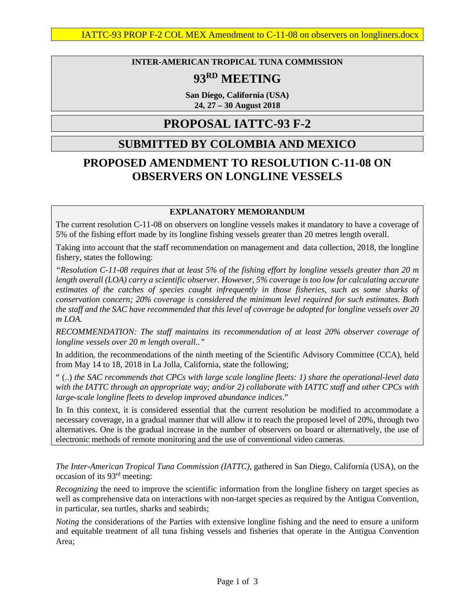### **INTER-AMERICAN TROPICAL TUNA COMMISSION**

# **93RD MEETING**

**San Diego, California (USA) 24, 27 – 30 August 2018**

## **PROPOSAL IATTC-93 F-2**

## **SUBMITTED BY COLOMBIA AND MEXICO**

# **PROPOSED AMENDMENT TO RESOLUTION C-11-08 ON OBSERVERS ON LONGLINE VESSELS**

### **EXPLANATORY MEMORANDUM**

The current resolution C-11-08 on observers on longline vessels makes it mandatory to have a coverage of 5% of the fishing effort made by its longline fishing vessels greater than 20 metres length overall.

Taking into account that the staff recommendation on management and data collection, 2018, the longline fishery, states the following:

*"Resolution C-11-08 requires that at least 5% of the fishing effort by longline vessels greater than 20 m length overall (LOA) carry a scientific observer. However, 5% coverage is too low for calculating accurate estimates of the catches of species caught infrequently in those fisheries, such as some sharks of conservation concern; 20% coverage is considered the minimum level required for such estimates. Both the staff and the SAC have recommended that this level of coverage be adopted for longline vessels over 20 m LOA.*

*RECOMMENDATION: The staff maintains its recommendation of at least 20% observer coverage of longline vessels over 20 m length overall.."* 

In addition, the recommendations of the ninth meeting of the Scientific Advisory Committee (CCA), held from May 14 to 18, 2018 in La Jolla, California, state the following;

" (..) *the SAC recommends that CPCs with large scale longline fleets: 1) share the operational-level data with the IATTC through an appropriate way; and/or 2) collaborate with IATTC staff and other CPCs with large-scale longline fleets to develop improved abundance indices*."

In In this context, it is considered essential that the current resolution be modified to accommodate a necessary coverage, in a gradual manner that will allow it to reach the proposed level of 20%, through two alternatives. One is the gradual increase in the number of observers on board or alternatively, the use of electronic methods of remote monitoring and the use of conventional video cameras.

*The Inter-American Tropical Tuna Commission (IATTC)*, gathered in San Diego, California (USA), on the occasion of its 93rd meeting:

*Recognizing* the need to improve the scientific information from the longline fishery on target species as well as comprehensive data on interactions with non-target species as required by the Antigua Convention, in particular, sea turtles, sharks and seabirds;

*Noting* the considerations of the Parties with extensive longline fishing and the need to ensure a uniform and equitable treatment of all tuna fishing vessels and fisheries that operate in the Antigua Convention Area;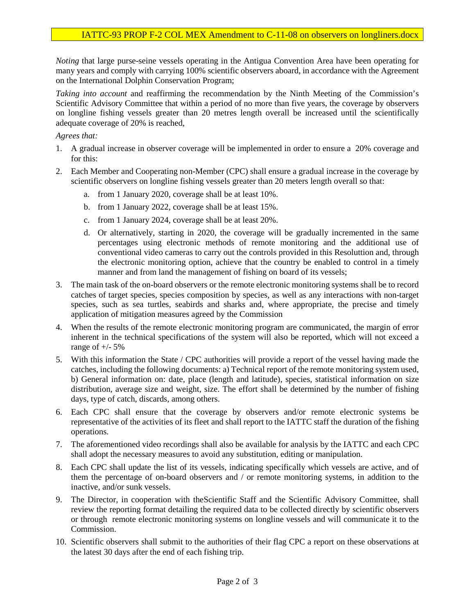*Noting* that large purse-seine vessels operating in the Antigua Convention Area have been operating for many years and comply with carrying 100% scientific observers aboard, in accordance with the Agreement on the International Dolphin Conservation Program;

*Taking into account* and reaffirming the recommendation by the Ninth Meeting of the Commission's Scientific Advisory Committee that within a period of no more than five years, the coverage by observers on longline fishing vessels greater than 20 metres length overall be increased until the scientifically adequate coverage of 20% is reached,

### *Agrees that:*

- 1. A gradual increase in observer coverage will be implemented in order to ensure a 20% coverage and for this:
- 2. Each Member and Cooperating non-Member (CPC) shall ensure a gradual increase in the coverage by scientific observers on longline fishing vessels greater than 20 meters length overall so that:
	- a. from 1 January 2020, coverage shall be at least 10%.
	- b. from 1 January 2022, coverage shall be at least 15%.
	- c. from 1 January 2024, coverage shall be at least 20%.
	- d. Or alternatively, starting in 2020, the coverage will be gradually incremented in the same percentages using electronic methods of remote monitoring and the additional use of conventional video cameras to carry out the controls provided in this Resoluttion and, through the electronic monitoring option, achieve that the country be enabled to control in a timely manner and from land the management of fishing on board of its vessels;
- 3. The main task of the on-board observers or the remote electronic monitoring systems shall be to record catches of target species, species composition by species, as well as any interactions with non-target species, such as sea turtles, seabirds and sharks and, where appropriate, the precise and timely application of mitigation measures agreed by the Commission
- 4. When the results of the remote electronic monitoring program are communicated, the margin of error inherent in the technical specifications of the system will also be reported, which will not exceed a range of  $+/- 5\%$
- 5. With this information the State / CPC authorities will provide a report of the vessel having made the catches, including the following documents: a) Technical report of the remote monitoring system used, b) General information on: date, place (length and latitude), species, statistical information on size distribution, average size and weight, size. The effort shall be determined by the number of fishing days, type of catch, discards, among others.
- 6. Each CPC shall ensure that the coverage by observers and/or remote electronic systems be representative of the activities of its fleet and shall report to the IATTC staff the duration of the fishing operations.
- 7. The aforementioned video recordings shall also be available for analysis by the IATTC and each CPC shall adopt the necessary measures to avoid any substitution, editing or manipulation.
- 8. Each CPC shall update the list of its vessels, indicating specifically which vessels are active, and of them the percentage of on-board observers and / or remote monitoring systems, in addition to the inactive, and/or sunk vessels.
- 9. The Director, in cooperation with theScientific Staff and the Scientific Advisory Committee, shall review the reporting format detailing the required data to be collected directly by scientific observers or through remote electronic monitoring systems on longline vessels and will communicate it to the Commission.
- 10. Scientific observers shall submit to the authorities of their flag CPC a report on these observations at the latest 30 days after the end of each fishing trip.